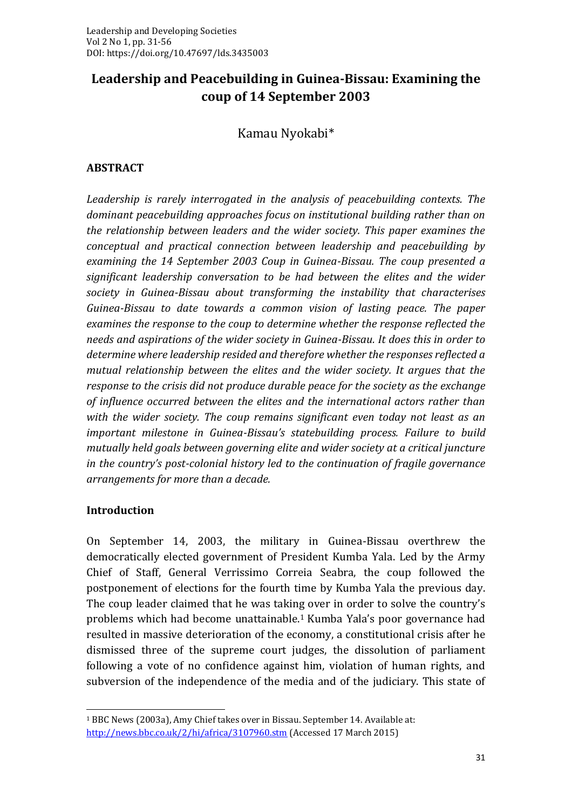# **Leadership and Peacebuilding in Guinea-Bissau: Examining the coup of 14 September 2003**

Kamau Nyokabi\*

### **ABSTRACT**

*Leadership is rarely interrogated in the analysis of peacebuilding contexts. The dominant peacebuilding approaches focus on institutional building rather than on the relationship between leaders and the wider society. This paper examines the conceptual and practical connection between leadership and peacebuilding by examining the 14 September 2003 Coup in Guinea-Bissau. The coup presented a significant leadership conversation to be had between the elites and the wider society in Guinea-Bissau about transforming the instability that characterises Guinea-Bissau to date towards a common vision of lasting peace. The paper examines the response to the coup to determine whether the response reflected the needs and aspirations of the wider society in Guinea-Bissau. It does this in order to determine where leadership resided and therefore whether the responses reflected a mutual relationship between the elites and the wider society. It argues that the response to the crisis did not produce durable peace for the society as the exchange of influence occurred between the elites and the international actors rather than with the wider society. The coup remains significant even today not least as an important milestone in Guinea-Bissau's statebuilding process. Failure to build mutually held goals between governing elite and wider society at a critical juncture in the country's post-colonial history led to the continuation of fragile governance arrangements for more than a decade.*

#### **Introduction**

On September 14, 2003, the military in Guinea-Bissau overthrew the democratically elected government of President Kumba Yala. Led by the Army Chief of Staff, General Verrissimo Correia Seabra, the coup followed the postponement of elections for the fourth time by Kumba Yala the previous day. The coup leader claimed that he was taking over in order to solve the country's problems which had become unattainable. <sup>1</sup> Kumba Yala's poor governance had resulted in massive deterioration of the economy, a constitutional crisis after he dismissed three of the supreme court judges, the dissolution of parliament following a vote of no confidence against him, violation of human rights, and subversion of the independence of the media and of the judiciary. This state of

<sup>1</sup> BBC News (2003a), Amy Chief takes over in Bissau. September 14. Available at: <http://news.bbc.co.uk/2/hi/africa/3107960.stm> (Accessed 17 March 2015)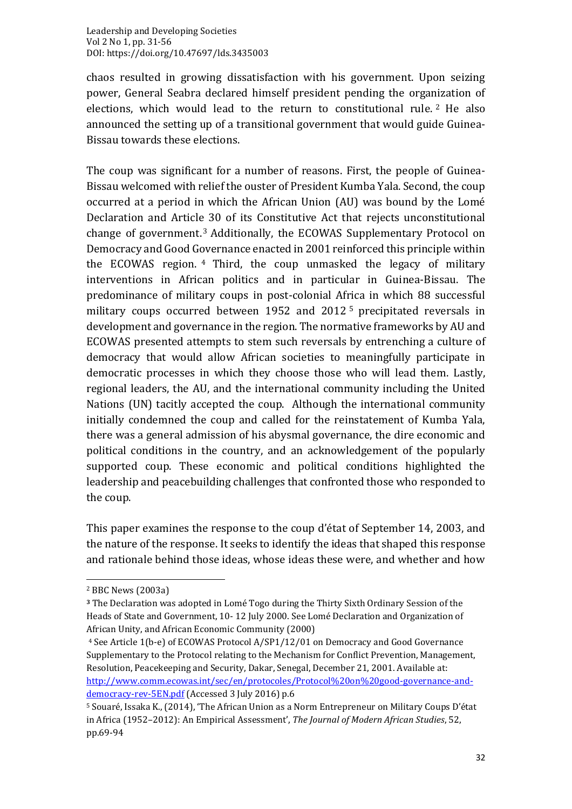chaos resulted in growing dissatisfaction with his government. Upon seizing power, General Seabra declared himself president pending the organization of elections, which would lead to the return to constitutional rule. <sup>2</sup> He also announced the setting up of a transitional government that would guide Guinea-Bissau towards these elections.

The coup was significant for a number of reasons. First, the people of Guinea-Bissau welcomed with relief the ouster of President Kumba Yala. Second, the coup occurred at a period in which the African Union (AU) was bound by the Lomé Declaration and Article 30 of its Constitutive Act that rejects unconstitutional change of government. <sup>3</sup> Additionally, the ECOWAS Supplementary Protocol on Democracy and Good Governance enacted in 2001 reinforced this principle within the ECOWAS region. <sup>4</sup> Third, the coup unmasked the legacy of military interventions in African politics and in particular in Guinea-Bissau. The predominance of military coups in post-colonial Africa in which 88 successful military coups occurred between 1952 and 2012 <sup>5</sup> precipitated reversals in development and governance in the region. The normative frameworks by AU and ECOWAS presented attempts to stem such reversals by entrenching a culture of democracy that would allow African societies to meaningfully participate in democratic processes in which they choose those who will lead them. Lastly, regional leaders, the AU, and the international community including the United Nations (UN) tacitly accepted the coup. Although the international community initially condemned the coup and called for the reinstatement of Kumba Yala, there was a general admission of his abysmal governance, the dire economic and political conditions in the country, and an acknowledgement of the popularly supported coup. These economic and political conditions highlighted the leadership and peacebuilding challenges that confronted those who responded to the coup.

This paper examines the response to the coup d'état of September 14, 2003, and the nature of the response. It seeks to identify the ideas that shaped this response and rationale behind those ideas, whose ideas these were, and whether and how

<sup>2</sup> BBC News (2003a)

**<sup>3</sup>** The Declaration was adopted in Lomé Togo during the Thirty Sixth Ordinary Session of the Heads of State and Government, 10- 12 July 2000. See Lomé Declaration and Organization of African Unity, and African Economic Community (2000)

<sup>4</sup> See Article 1(b-e) of ECOWAS Protocol A/SP1/12/01 on Democracy and Good Governance Supplementary to the Protocol relating to the Mechanism for Conflict Prevention, Management, Resolution, Peacekeeping and Security, Dakar, Senegal, December 21, 2001. Available at: [http://www.comm.ecowas.int/sec/en/protocoles/Protocol%20on%20good-governance-and](http://www.comm.ecowas.int/sec/en/protocoles/Protocol%20on%20good-governance-and-democracy-rev-5EN.pdf)[democracy-rev-5EN.pdf](http://www.comm.ecowas.int/sec/en/protocoles/Protocol%20on%20good-governance-and-democracy-rev-5EN.pdf) (Accessed 3 July 2016) p.6

<sup>5</sup> Souaré, Issaka K., (2014), 'The African Union as a Norm Entrepreneur on Military Coups D'état in Africa (1952–2012): An Empirical Assessment', *The Journal of Modern African Studies*, 52, pp.69-94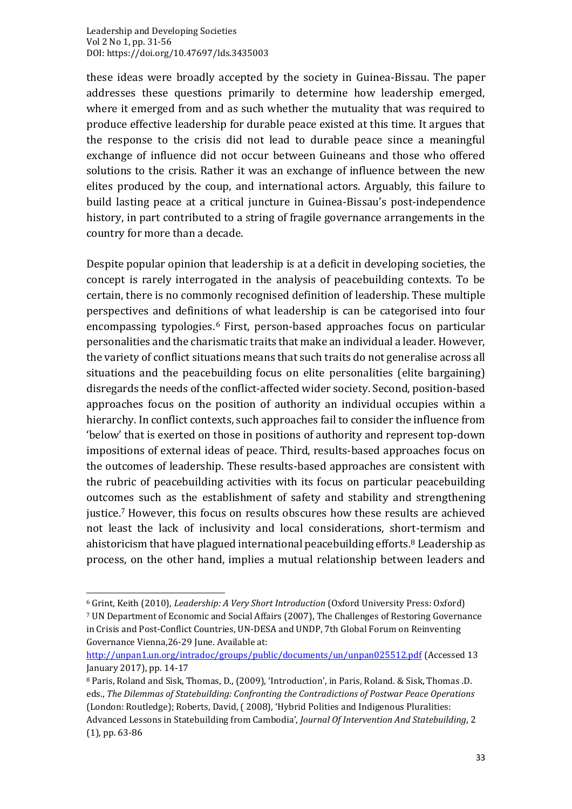these ideas were broadly accepted by the society in Guinea-Bissau. The paper addresses these questions primarily to determine how leadership emerged, where it emerged from and as such whether the mutuality that was required to produce effective leadership for durable peace existed at this time. It argues that the response to the crisis did not lead to durable peace since a meaningful exchange of influence did not occur between Guineans and those who offered solutions to the crisis. Rather it was an exchange of influence between the new elites produced by the coup, and international actors. Arguably, this failure to build lasting peace at a critical juncture in Guinea-Bissau's post-independence history, in part contributed to a string of fragile governance arrangements in the country for more than a decade.

Despite popular opinion that leadership is at a deficit in developing societies, the concept is rarely interrogated in the analysis of peacebuilding contexts. To be certain, there is no commonly recognised definition of leadership. These multiple perspectives and definitions of what leadership is can be categorised into four encompassing typologies. <sup>6</sup> First, person-based approaches focus on particular personalities and the charismatic traits that make an individual a leader. However, the variety of conflict situations means that such traits do not generalise across all situations and the peacebuilding focus on elite personalities (elite bargaining) disregards the needs of the conflict-affected wider society. Second, position-based approaches focus on the position of authority an individual occupies within a hierarchy. In conflict contexts, such approaches fail to consider the influence from 'below' that is exerted on those in positions of authority and represent top-down impositions of external ideas of peace. Third, results-based approaches focus on the outcomes of leadership. These results-based approaches are consistent with the rubric of peacebuilding activities with its focus on particular peacebuilding outcomes such as the establishment of safety and stability and strengthening justice. <sup>7</sup> However, this focus on results obscures how these results are achieved not least the lack of inclusivity and local considerations, short-termism and ahistoricism that have plagued international peacebuilding efforts. <sup>8</sup> Leadership as process, on the other hand, implies a mutual relationship between leaders and

<sup>6</sup> Grint, Keith (2010), *Leadership: A Very Short Introduction* (Oxford University Press: Oxford) <sup>7</sup> UN Department of Economic and Social Affairs (2007), The Challenges of Restoring Governance in Crisis and Post-Conflict Countries, UN-DESA and UNDP, 7th Global Forum on Reinventing Governance Vienna,26-29 June. Available at:

<http://unpan1.un.org/intradoc/groups/public/documents/un/unpan025512.pdf> (Accessed 13 January 2017), pp. 14-17

<sup>8</sup> Paris, Roland and Sisk, Thomas, D., (2009), 'Introduction', in Paris, Roland. & Sisk, Thomas .D. eds., *The Dilemmas of Statebuilding: Confronting the Contradictions of Postwar Peace Operations* (London: Routledge); Roberts, David, ( 2008), 'Hybrid Polities and Indigenous Pluralities: Advanced Lessons in Statebuilding from Cambodia', *Journal Of Intervention And Statebuilding*, 2 (1), pp. 63-86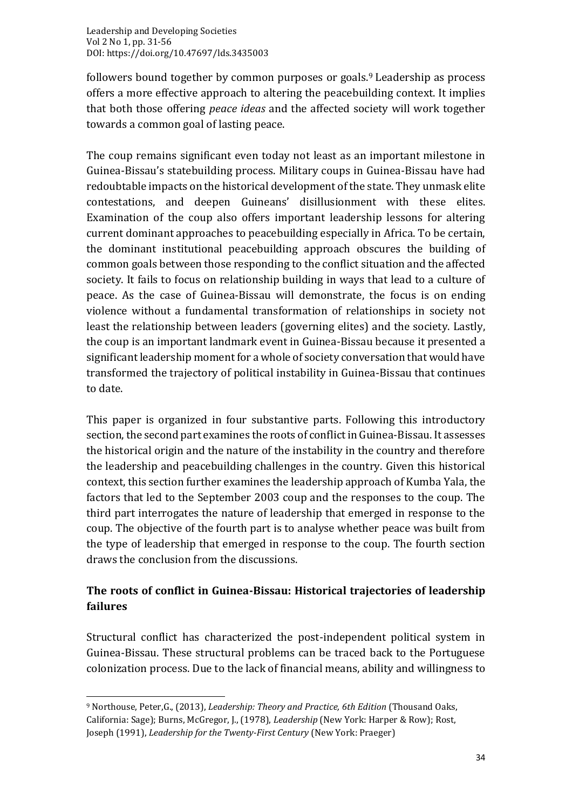followers bound together by common purposes or goals. <sup>9</sup> Leadership as process offers a more effective approach to altering the peacebuilding context. It implies that both those offering *peace ideas* and the affected society will work together towards a common goal of lasting peace.

The coup remains significant even today not least as an important milestone in Guinea-Bissau's statebuilding process. Military coups in Guinea-Bissau have had redoubtable impacts on the historical development of the state. They unmask elite contestations, and deepen Guineans' disillusionment with these elites. Examination of the coup also offers important leadership lessons for altering current dominant approaches to peacebuilding especially in Africa. To be certain, the dominant institutional peacebuilding approach obscures the building of common goals between those responding to the conflict situation and the affected society. It fails to focus on relationship building in ways that lead to a culture of peace. As the case of Guinea-Bissau will demonstrate, the focus is on ending violence without a fundamental transformation of relationships in society not least the relationship between leaders (governing elites) and the society. Lastly, the coup is an important landmark event in Guinea-Bissau because it presented a significant leadership moment for a whole of society conversation that would have transformed the trajectory of political instability in Guinea-Bissau that continues to date.

This paper is organized in four substantive parts. Following this introductory section, the second part examines the roots of conflict in Guinea-Bissau. It assesses the historical origin and the nature of the instability in the country and therefore the leadership and peacebuilding challenges in the country. Given this historical context, this section further examines the leadership approach of Kumba Yala, the factors that led to the September 2003 coup and the responses to the coup. The third part interrogates the nature of leadership that emerged in response to the coup. The objective of the fourth part is to analyse whether peace was built from the type of leadership that emerged in response to the coup. The fourth section draws the conclusion from the discussions.

## **The roots of conflict in Guinea-Bissau: Historical trajectories of leadership failures**

Structural conflict has characterized the post-independent political system in Guinea-Bissau. These structural problems can be traced back to the Portuguese colonization process. Due to the lack of financial means, ability and willingness to

<sup>9</sup> Northouse, Peter,G., (2013), *Leadership: Theory and Practice, 6th Edition* (Thousand Oaks, California: Sage); Burns, McGregor, J., (1978), *Leadership* (New York: Harper & Row); Rost, Joseph (1991), *Leadership for the Twenty-First Century* (New York: Praeger)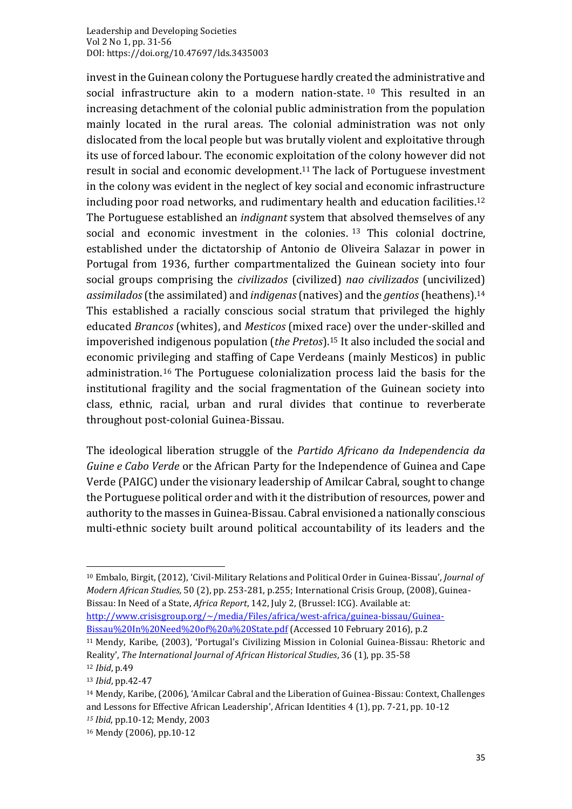invest in the Guinean colony the Portuguese hardly created the administrative and social infrastructure akin to a modern nation-state. <sup>10</sup> This resulted in an increasing detachment of the colonial public administration from the population mainly located in the rural areas. The colonial administration was not only dislocated from the local people but was brutally violent and exploitative through its use of forced labour. The economic exploitation of the colony however did not result in social and economic development. <sup>11</sup> The lack of Portuguese investment in the colony was evident in the neglect of key social and economic infrastructure including poor road networks, and rudimentary health and education facilities. $^{\rm 12}$ The Portuguese established an *indignant* system that absolved themselves of any social and economic investment in the colonies. <sup>13</sup> This colonial doctrine, established under the dictatorship of Antonio de Oliveira Salazar in power in Portugal from 1936, further compartmentalized the Guinean society into four social groups comprising the *civilizados* (civilized) *nao civilizados* (uncivilized) *assimilados*(the assimilated) and *indigenas* (natives) and the *gentios* (heathens). 14 This established a racially conscious social stratum that privileged the highly educated *Brancos* (whites), and *Mesticos* (mixed race) over the under-skilled and impoverished indigenous population (*the Pretos*). <sup>15</sup> It also included the social and economic privileging and staffing of Cape Verdeans (mainly Mesticos) in public administration. <sup>16</sup> The Portuguese colonialization process laid the basis for the institutional fragility and the social fragmentation of the Guinean society into class, ethnic, racial, urban and rural divides that continue to reverberate throughout post-colonial Guinea-Bissau.

The ideological liberation struggle of the *Partido Africano da Independencia da Guine e Cabo Verde* or the African Party for the Independence of Guinea and Cape Verde (PAIGC) under the visionary leadership of Amilcar Cabral, sought to change the Portuguese political order and with it the distribution of resources, power and authority to the masses in Guinea-Bissau. Cabral envisioned a nationally conscious multi-ethnic society built around political accountability of its leaders and the

<sup>10</sup> Embalo, Birgit, (2012), 'Civil-Military Relations and Political Order in Guinea-Bissau', *Journal of Modern African Studies,* 50 (2), pp. 253-281, p.255; International Crisis Group, (2008), Guinea-Bissau: In Need of a State, *Africa Report*, 142, July 2, (Brussel: ICG). Available at: [http://www.crisisgroup.org/~/media/Files/africa/west-africa/guinea-bissau/Guinea-](http://www.crisisgroup.org/~/media/Files/africa/west-africa/guinea-bissau/Guinea-Bissau%20In%20Need%20of%20a%20State.pdf)

[Bissau%20In%20Need%20of%20a%20State.pdf](http://www.crisisgroup.org/~/media/Files/africa/west-africa/guinea-bissau/Guinea-Bissau%20In%20Need%20of%20a%20State.pdf) (Accessed 10 February 2016), p.2

<sup>11</sup> Mendy, Karibe, (2003), 'Portugal's Civilizing Mission in Colonial Guinea-Bissau: Rhetoric and Reality', *The International Journal of African Historical Studies*, 36 (1), pp. 35-58 <sup>12</sup> *Ibid*, p.49

<sup>13</sup> *Ibid*, pp.42-47

<sup>14</sup> Mendy, Karibe, (2006), 'Amilcar Cabral and the Liberation of Guinea-Bissau: Context, Challenges and Lessons for Effective African Leadership', African Identities 4 (1), pp. 7-21, pp. 10-12 *<sup>15</sup> Ibid*, pp.10-12; Mendy, 2003

<sup>16</sup> Mendy (2006), pp.10-12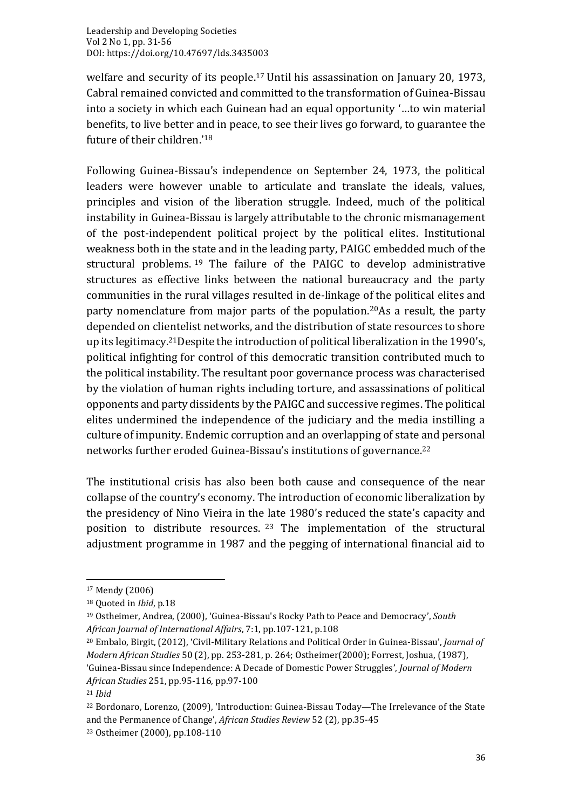welfare and security of its people. <sup>17</sup> Until his assassination on January 20, 1973, Cabral remained convicted and committed to the transformation of Guinea-Bissau into a society in which each Guinean had an equal opportunity '…to win material benefits, to live better and in peace, to see their lives go forward, to guarantee the future of their children.'<sup>18</sup>

Following Guinea-Bissau's independence on September 24, 1973, the political leaders were however unable to articulate and translate the ideals, values, principles and vision of the liberation struggle. Indeed, much of the political instability in Guinea-Bissau is largely attributable to the chronic mismanagement of the post-independent political project by the political elites. Institutional weakness both in the state and in the leading party, PAIGC embedded much of the structural problems. <sup>19</sup> The failure of the PAIGC to develop administrative structures as effective links between the national bureaucracy and the party communities in the rural villages resulted in de-linkage of the political elites and party nomenclature from major parts of the population. <sup>20</sup>As a result, the party depended on clientelist networks, and the distribution of state resources to shore up its legitimacy. <sup>21</sup>Despite the introduction of political liberalization in the 1990's, political infighting for control of this democratic transition contributed much to the political instability. The resultant poor governance process was characterised by the violation of human rights including torture, and assassinations of political opponents and party dissidents by the PAIGC and successive regimes. The political elites undermined the independence of the judiciary and the media instilling a culture of impunity. Endemic corruption and an overlapping of state and personal networks further eroded Guinea-Bissau's institutions of governance. 22

The institutional crisis has also been both cause and consequence of the near collapse of the country's economy. The introduction of economic liberalization by the presidency of Nino Vieira in the late 1980's reduced the state's capacity and position to distribute resources. <sup>23</sup> The implementation of the structural adjustment programme in 1987 and the pegging of international financial aid to

<sup>17</sup> Mendy (2006)

<sup>18</sup> Quoted in *Ibid*, p.18

<sup>19</sup> Ostheimer, Andrea, (2000), 'Guinea-Bissau's Rocky Path to Peace and Democracy', *South African Journal of International Affairs*, 7:1, pp.107-121, p.108

<sup>20</sup> Embalo, Birgit, (2012), 'Civil-Military Relations and Political Order in Guinea-Bissau', *Journal of Modern African Studies* 50 (2), pp. 253-281, p. 264; Ostheimer(2000); Forrest, Joshua, (1987), 'Guinea-Bissau since Independence: A Decade of Domestic Power Struggles', *Journal of Modern African Studies* 251, pp.95-116, pp.97-100

<sup>21</sup> *Ibid*

<sup>22</sup> Bordonaro, Lorenzo, (2009), 'Introduction: Guinea-Bissau Today—The Irrelevance of the State and the Permanence of Change', *African Studies Review* 52 (2), pp.35-45 <sup>23</sup> Ostheimer (2000), pp.108-110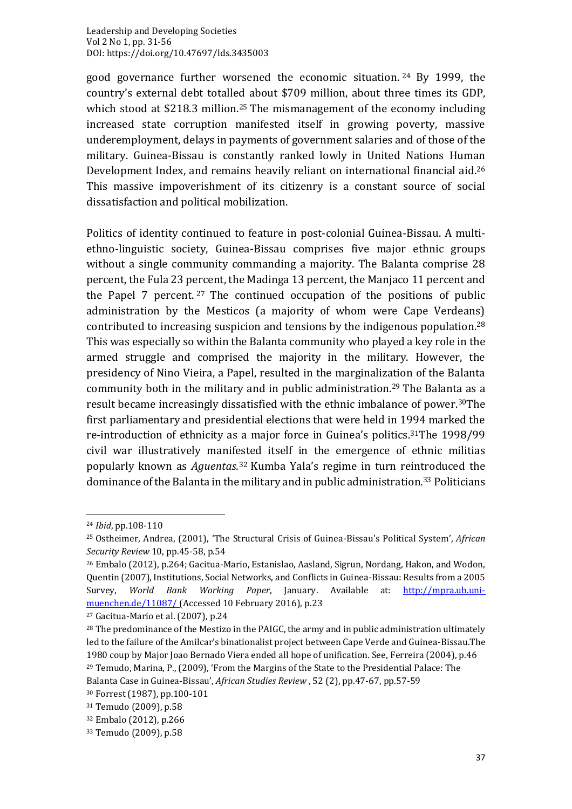good governance further worsened the economic situation. <sup>24</sup> By 1999, the country's external debt totalled about \$709 million, about three times its GDP, which stood at \$218.3 million. <sup>25</sup> The mismanagement of the economy including increased state corruption manifested itself in growing poverty, massive underemployment, delays in payments of government salaries and of those of the military. Guinea-Bissau is constantly ranked lowly in United Nations Human Development Index, and remains heavily reliant on international financial aid. 26 This massive impoverishment of its citizenry is a constant source of social dissatisfaction and political mobilization.

Politics of identity continued to feature in post-colonial Guinea-Bissau. A multiethno-linguistic society, Guinea-Bissau comprises five major ethnic groups without a single community commanding a majority. The Balanta comprise 28 percent, the Fula 23 percent, the Madinga 13 percent, the Manjaco 11 percent and the Papel 7 percent. <sup>27</sup> The continued occupation of the positions of public administration by the Mesticos (a majority of whom were Cape Verdeans) contributed to increasing suspicion and tensions by the indigenous population. 28 This was especially so within the Balanta community who played a key role in the armed struggle and comprised the majority in the military. However, the presidency of Nino Vieira, a Papel, resulted in the marginalization of the Balanta community both in the military and in public administration. <sup>29</sup> The Balanta as a result became increasingly dissatisfied with the ethnic imbalance of power. <sup>30</sup>The first parliamentary and presidential elections that were held in 1994 marked the re-introduction of ethnicity as a major force in Guinea's politics. <sup>31</sup>The 1998/99 civil war illustratively manifested itself in the emergence of ethnic militias popularly known as *Aguentas.* <sup>32</sup> Kumba Yala's regime in turn reintroduced the dominance of the Balanta in the military and in public administration. <sup>33</sup> Politicians

<sup>24</sup> *Ibid*, pp.108-110

<sup>25</sup> Ostheimer, Andrea, (2001), 'The Structural Crisis of Guinea-Bissau's Political System', *African Security Review* 10, pp.45-58, p.54

<sup>26</sup> Embalo (2012), p.264; Gacitua-Mario, Estanislao, Aasland, Sigrun, Nordang, Hakon, and Wodon, Quentin (2007), Institutions, Social Networks, and Conflicts in Guinea-Bissau: Results from a 2005 Survey, *World Bank Working Paper*, January. Available at: [http://mpra.ub.uni](http://mpra.ub.uni-muenchen.de/11087/)[muenchen.de/11087/](http://mpra.ub.uni-muenchen.de/11087/) (Accessed 10 February 2016), p.23

<sup>27</sup> Gacitua-Mario et al. (2007), p.24

<sup>&</sup>lt;sup>28</sup> The predominance of the Mestizo in the PAIGC, the army and in public administration ultimately led to the failure of the Amilcar's binationalist project between Cape Verde and Guinea-Bissau.The 1980 coup by Major Joao Bernado Viera ended all hope of unification. See, Ferreira (2004), p.46 <sup>29</sup> Temudo, Marina, P., (2009), 'From the Margins of the State to the Presidential Palace: The Balanta Case in Guinea-Bissau', *African Studies Review* , 52 (2), pp.47-67, pp.57-59

<sup>30</sup> Forrest (1987), pp.100-101

<sup>31</sup> Temudo (2009), p.58

<sup>32</sup> Embalo (2012), p.266

<sup>33</sup> Temudo (2009), p.58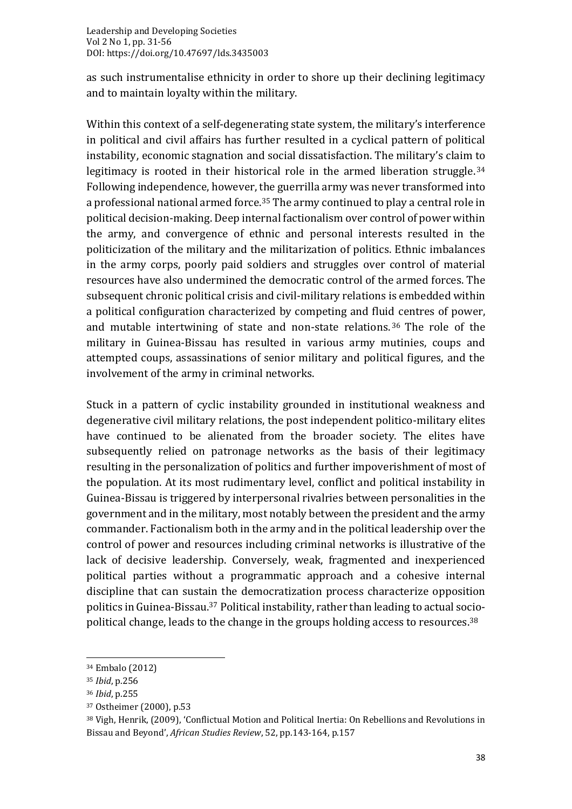as such instrumentalise ethnicity in order to shore up their declining legitimacy and to maintain loyalty within the military.

Within this context of a self-degenerating state system, the military's interference in political and civil affairs has further resulted in a cyclical pattern of political instability, economic stagnation and social dissatisfaction. The military's claim to legitimacy is rooted in their historical role in the armed liberation struggle. 34 Following independence, however, the guerrilla army was never transformed into a professional national armed force. <sup>35</sup> The army continued to play a central role in political decision-making. Deep internal factionalism over control of power within the army, and convergence of ethnic and personal interests resulted in the politicization of the military and the militarization of politics. Ethnic imbalances in the army corps, poorly paid soldiers and struggles over control of material resources have also undermined the democratic control of the armed forces. The subsequent chronic political crisis and civil-military relations is embedded within a political configuration characterized by competing and fluid centres of power, and mutable intertwining of state and non-state relations. <sup>36</sup> The role of the military in Guinea-Bissau has resulted in various army mutinies, coups and attempted coups, assassinations of senior military and political figures, and the involvement of the army in criminal networks.

Stuck in a pattern of cyclic instability grounded in institutional weakness and degenerative civil military relations, the post independent politico-military elites have continued to be alienated from the broader society. The elites have subsequently relied on patronage networks as the basis of their legitimacy resulting in the personalization of politics and further impoverishment of most of the population. At its most rudimentary level, conflict and political instability in Guinea-Bissau is triggered by interpersonal rivalries between personalities in the government and in the military, most notably between the president and the army commander. Factionalism both in the army and in the political leadership over the control of power and resources including criminal networks is illustrative of the lack of decisive leadership. Conversely, weak, fragmented and inexperienced political parties without a programmatic approach and a cohesive internal discipline that can sustain the democratization process characterize opposition politics in Guinea-Bissau. <sup>37</sup> Political instability, rather than leading to actual sociopolitical change, leads to the change in the groups holding access to resources. 38

<sup>34</sup> Embalo (2012)

<sup>35</sup> *Ibid*, p.256

<sup>36</sup> *Ibid*, p.255

<sup>37</sup> Ostheimer (2000), p.53

<sup>38</sup> Vigh, Henrik, (2009), 'Conflictual Motion and Political Inertia: On Rebellions and Revolutions in Bissau and Beyond', *African Studies Review*, 52, pp.143-164, p.157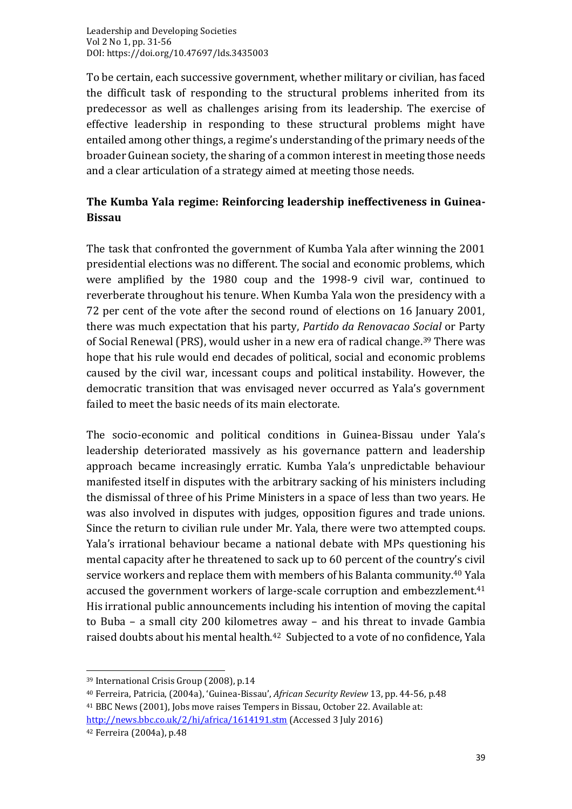To be certain, each successive government, whether military or civilian, has faced the difficult task of responding to the structural problems inherited from its predecessor as well as challenges arising from its leadership. The exercise of effective leadership in responding to these structural problems might have entailed among other things, a regime's understanding of the primary needs of the broader Guinean society, the sharing of a common interest in meeting those needs and a clear articulation of a strategy aimed at meeting those needs.

### **The Kumba Yala regime: Reinforcing leadership ineffectiveness in Guinea-Bissau**

The task that confronted the government of Kumba Yala after winning the 2001 presidential elections was no different. The social and economic problems, which were amplified by the 1980 coup and the 1998-9 civil war, continued to reverberate throughout his tenure. When Kumba Yala won the presidency with a 72 per cent of the vote after the second round of elections on 16 January 2001, there was much expectation that his party, *Partido da Renovacao Social* or Party of Social Renewal (PRS), would usher in a new era of radical change. <sup>39</sup> There was hope that his rule would end decades of political, social and economic problems caused by the civil war, incessant coups and political instability. However, the democratic transition that was envisaged never occurred as Yala's government failed to meet the basic needs of its main electorate.

The socio-economic and political conditions in Guinea-Bissau under Yala's leadership deteriorated massively as his governance pattern and leadership approach became increasingly erratic. Kumba Yala's unpredictable behaviour manifested itself in disputes with the arbitrary sacking of his ministers including the dismissal of three of his Prime Ministers in a space of less than two years. He was also involved in disputes with judges, opposition figures and trade unions. Since the return to civilian rule under Mr. Yala, there were two attempted coups. Yala's irrational behaviour became a national debate with MPs questioning his mental capacity after he threatened to sack up to 60 percent of the country's civil service workers and replace them with members of his Balanta community.<sup>40</sup> Yala accused the government workers of large-scale corruption and embezzlement. 41 His irrational public announcements including his intention of moving the capital to Buba – a small city 200 kilometres away – and his threat to invade Gambia raised doubts about his mental health.<sup>42</sup> Subjected to a vote of no confidence, Yala

<sup>39</sup> International Crisis Group (2008), p.14

<sup>40</sup> Ferreira, Patricia, (2004a), 'Guinea-Bissau', *African Security Review* 13, pp. 44-56, p.48 <sup>41</sup> BBC News (2001), Jobs move raises Tempers in Bissau, October 22. Available at: <http://news.bbc.co.uk/2/hi/africa/1614191.stm> (Accessed 3 July 2016)

<sup>42</sup> Ferreira (2004a), p.48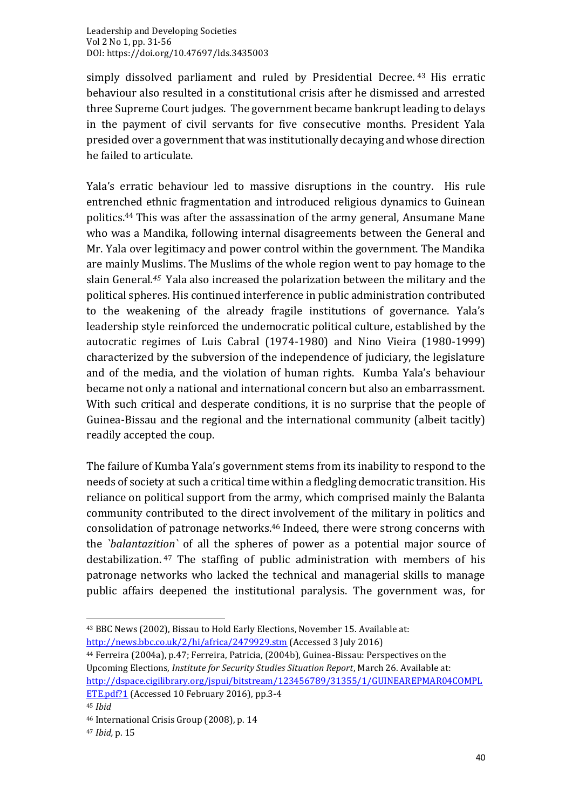simply dissolved parliament and ruled by Presidential Decree. <sup>43</sup> His erratic behaviour also resulted in a constitutional crisis after he dismissed and arrested three Supreme Court judges. The government became bankrupt leading to delays in the payment of civil servants for five consecutive months. President Yala presided over a government that was institutionally decaying and whose direction he failed to articulate.

Yala's erratic behaviour led to massive disruptions in the country. His rule entrenched ethnic fragmentation and introduced religious dynamics to Guinean politics. <sup>44</sup> This was after the assassination of the army general, Ansumane Mane who was a Mandika, following internal disagreements between the General and Mr. Yala over legitimacy and power control within the government. The Mandika are mainly Muslims. The Muslims of the whole region went to pay homage to the slain General*. <sup>45</sup>* Yala also increased the polarization between the military and the political spheres. His continued interference in public administration contributed to the weakening of the already fragile institutions of governance. Yala's leadership style reinforced the undemocratic political culture, established by the autocratic regimes of Luis Cabral (1974-1980) and Nino Vieira (1980-1999) characterized by the subversion of the independence of judiciary, the legislature and of the media, and the violation of human rights. Kumba Yala's behaviour became not only a national and international concern but also an embarrassment. With such critical and desperate conditions, it is no surprise that the people of Guinea-Bissau and the regional and the international community (albeit tacitly) readily accepted the coup.

The failure of Kumba Yala's government stems from its inability to respond to the needs of society at such a critical time within a fledgling democratic transition. His reliance on political support from the army, which comprised mainly the Balanta community contributed to the direct involvement of the military in politics and consolidation of patronage networks. <sup>46</sup> Indeed, there were strong concerns with the *`balantazition`* of all the spheres of power as a potential major source of destabilization. <sup>47</sup> The staffing of public administration with members of his patronage networks who lacked the technical and managerial skills to manage public affairs deepened the institutional paralysis. The government was, for

<sup>43</sup> BBC News (2002), Bissau to Hold Early Elections, November 15. Available at: <http://news.bbc.co.uk/2/hi/africa/2479929.stm> (Accessed 3 July 2016)

<sup>44</sup> Ferreira (2004a), p.47; Ferreira, Patricia, (2004b), Guinea-Bissau: Perspectives on the Upcoming Elections, *Institute for Security Studies Situation Report*, March 26. Available at: [http://dspace.cigilibrary.org/jspui/bitstream/123456789/31355/1/GUINEAREPMAR04COMPL](http://dspace.cigilibrary.org/jspui/bitstream/123456789/31355/1/GUINEAREPMAR04COMPLETE.pdf?1)

[ETE.pdf?1](http://dspace.cigilibrary.org/jspui/bitstream/123456789/31355/1/GUINEAREPMAR04COMPLETE.pdf?1) (Accessed 10 February 2016), pp.3-4 <sup>45</sup> *Ibid*

<sup>46</sup> International Crisis Group (2008), p. 14

<sup>47</sup> *Ibid,* p. 15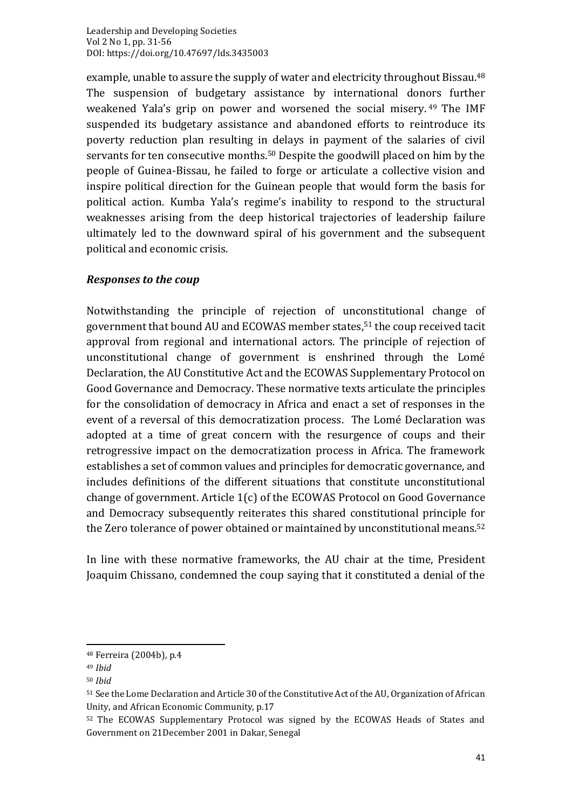example, unable to assure the supply of water and electricity throughout Bissau. 48 The suspension of budgetary assistance by international donors further weakened Yala's grip on power and worsened the social misery. <sup>49</sup> The IMF suspended its budgetary assistance and abandoned efforts to reintroduce its poverty reduction plan resulting in delays in payment of the salaries of civil servants for ten consecutive months. <sup>50</sup> Despite the goodwill placed on him by the people of Guinea-Bissau, he failed to forge or articulate a collective vision and inspire political direction for the Guinean people that would form the basis for political action. Kumba Yala's regime's inability to respond to the structural weaknesses arising from the deep historical trajectories of leadership failure ultimately led to the downward spiral of his government and the subsequent political and economic crisis.

#### *Responses to the coup*

Notwithstanding the principle of rejection of unconstitutional change of government that bound AU and ECOWAS member states, <sup>51</sup> the coup received tacit approval from regional and international actors. The principle of rejection of unconstitutional change of government is enshrined through the Lomé Declaration, the AU Constitutive Act and the ECOWAS Supplementary Protocol on Good Governance and Democracy. These normative texts articulate the principles for the consolidation of democracy in Africa and enact a set of responses in the event of a reversal of this democratization process. The Lomé Declaration was adopted at a time of great concern with the resurgence of coups and their retrogressive impact on the democratization process in Africa. The framework establishes a set of common values and principles for democratic governance, and includes definitions of the different situations that constitute unconstitutional change of government. Article 1(c) of the ECOWAS Protocol on Good Governance and Democracy subsequently reiterates this shared constitutional principle for the Zero tolerance of power obtained or maintained by unconstitutional means. 52

In line with these normative frameworks, the AU chair at the time, President Joaquim Chissano, condemned the coup saying that it constituted a denial of the

<sup>48</sup> Ferreira (2004b), p.4

<sup>49</sup> *Ibid*

<sup>50</sup> *Ibid*

<sup>51</sup> See the Lome Declaration and Article 30 of the Constitutive Act of the AU, Organization of African Unity, and African Economic Community, p.17

<sup>52</sup> The ECOWAS Supplementary Protocol was signed by the ECOWAS Heads of States and Government on 21December 2001 in Dakar, Senegal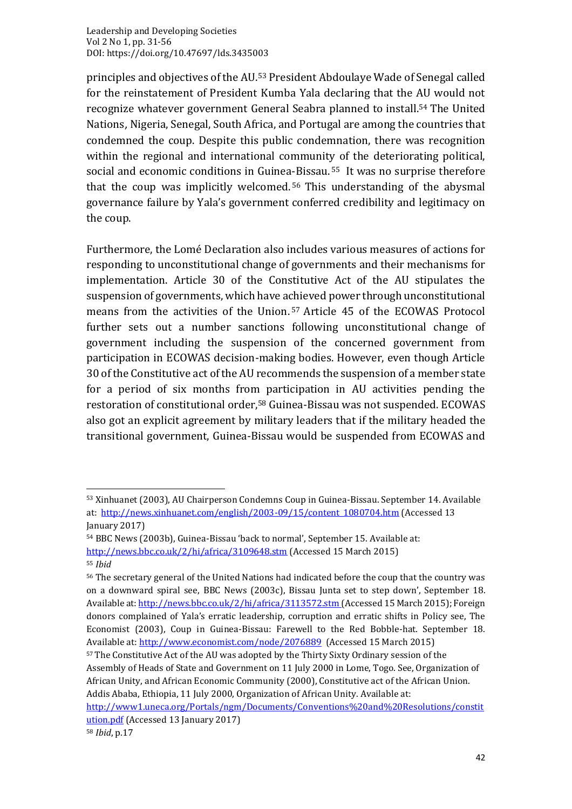principles and objectives of the AU. <sup>53</sup> President Abdoulaye Wade of Senegal called for the reinstatement of President Kumba Yala declaring that the AU would not recognize whatever government General Seabra planned to install. <sup>54</sup> The United Nations, Nigeria, Senegal, South Africa, and Portugal are among the countries that condemned the coup. Despite this public condemnation, there was recognition within the regional and international community of the deteriorating political, social and economic conditions in Guinea-Bissau. <sup>55</sup> It was no surprise therefore that the coup was implicitly welcomed. <sup>56</sup> This understanding of the abysmal governance failure by Yala's government conferred credibility and legitimacy on the coup.

Furthermore, the Lomé Declaration also includes various measures of actions for responding to unconstitutional change of governments and their mechanisms for implementation. Article 30 of the Constitutive Act of the AU stipulates the suspension of governments, which have achieved power through unconstitutional means from the activities of the Union. <sup>57</sup> Article 45 of the ECOWAS Protocol further sets out a number sanctions following unconstitutional change of government including the suspension of the concerned government from participation in ECOWAS decision-making bodies. However, even though Article 30 of the Constitutive act of the AU recommends the suspension of a member state for a period of six months from participation in AU activities pending the restoration of constitutional order, <sup>58</sup> Guinea-Bissau was not suspended. ECOWAS also got an explicit agreement by military leaders that if the military headed the transitional government, Guinea-Bissau would be suspended from ECOWAS and

<sup>53</sup> Xinhuanet (2003), AU Chairperson Condemns Coup in Guinea-Bissau. September 14. Available at: [http://news.xinhuanet.com/english/2003-09/15/content\\_1080704.htm](http://news.xinhuanet.com/english/2003-09/15/content_1080704.htm) (Accessed 13 January 2017)

<sup>54</sup> BBC News (2003b), Guinea-Bissau 'back to normal', September 15. Available at: <http://news.bbc.co.uk/2/hi/africa/3109648.stm> (Accessed 15 March 2015)

<sup>55</sup> *Ibid*

<sup>56</sup> The secretary general of the United Nations had indicated before the coup that the country was on a downward spiral see, BBC News (2003c), Bissau Junta set to step down', September 18. Available at[: http://news.bbc.co.uk/2/hi/africa/3113572.stm](http://news.bbc.co.uk/2/hi/africa/3113572.stm) (Accessed 15 March 2015); Foreign donors complained of Yala's erratic leadership, corruption and erratic shifts in Policy see, The Economist (2003), Coup in Guinea-Bissau: Farewell to the Red Bobble-hat. September 18. Available at:<http://www.economist.com/node/2076889> (Accessed 15 March 2015)

<sup>&</sup>lt;sup>57</sup> The Constitutive Act of the AU was adopted by the Thirty Sixty Ordinary session of the Assembly of Heads of State and Government on 11 July 2000 in Lome, Togo. See, Organization of African Unity, and African Economic Community (2000), Constitutive act of the African Union. Addis Ababa, Ethiopia, 11 July 2000, Organization of African Unity. Available at:

[http://www1.uneca.org/Portals/ngm/Documents/Conventions%20and%20Resolutions/constit](http://www1.uneca.org/Portals/ngm/Documents/Conventions%20and%20Resolutions/constitution.pdf) [ution.pdf](http://www1.uneca.org/Portals/ngm/Documents/Conventions%20and%20Resolutions/constitution.pdf) (Accessed 13 January 2017)

<sup>58</sup> *Ibid*, p.17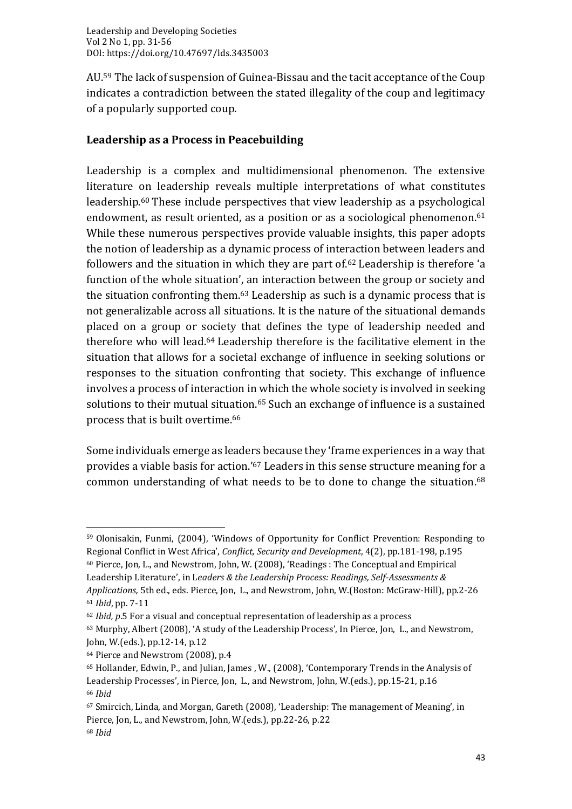AU. <sup>59</sup> The lack of suspension of Guinea-Bissau and the tacit acceptance of the Coup indicates a contradiction between the stated illegality of the coup and legitimacy of a popularly supported coup.

### **Leadership as a Process in Peacebuilding**

Leadership is a complex and multidimensional phenomenon. The extensive literature on leadership reveals multiple interpretations of what constitutes leadership. <sup>60</sup> These include perspectives that view leadership as a psychological endowment, as result oriented, as a position or as a sociological phenomenon. 61 While these numerous perspectives provide valuable insights, this paper adopts the notion of leadership as a dynamic process of interaction between leaders and followers and the situation in which they are part of. <sup>62</sup> Leadership is therefore 'a function of the whole situation', an interaction between the group or society and the situation confronting them. <sup>63</sup> Leadership as such is a dynamic process that is not generalizable across all situations. It is the nature of the situational demands placed on a group or society that defines the type of leadership needed and therefore who will lead. <sup>64</sup> Leadership therefore is the facilitative element in the situation that allows for a societal exchange of influence in seeking solutions or responses to the situation confronting that society. This exchange of influence involves a process of interaction in which the whole society is involved in seeking solutions to their mutual situation. <sup>65</sup> Such an exchange of influence is a sustained process that is built overtime. 66

Some individuals emerge as leaders because they 'frame experiences in a way that provides a viable basis for action.'<sup>67</sup> Leaders in this sense structure meaning for a common understanding of what needs to be to done to change the situation. 68

Leadership Literature', in L*eaders & the Leadership Process: Readings, Self-Assessments & Applications,* 5th ed., eds. Pierce, Jon, L., and Newstrom, John, W.(Boston: McGraw-Hill), pp.2-26

<sup>59</sup> Olonisakin, Funmi, (2004), 'Windows of Opportunity for Conflict Prevention: Responding to Regional Conflict in West Africa', *Conflict, Security and Development*, 4(2), pp.181-198, p.195 <sup>60</sup> Pierce, Jon, L., and Newstrom, John, W. (2008), 'Readings : The Conceptual and Empirical

<sup>61</sup> *Ibid*, pp. 7-11

<sup>62</sup> *Ibid, p*.5 For a visual and conceptual representation of leadership as a process

<sup>63</sup> Murphy, Albert (2008), 'A study of the Leadership Process', In Pierce, Jon, L., and Newstrom, John, W.(eds.), pp.12-14, p.12

<sup>64</sup> Pierce and Newstrom (2008), p.4

<sup>65</sup> Hollander, Edwin, P., and Julian, James , W., (2008), 'Contemporary Trends in the Analysis of Leadership Processes', in Pierce, Jon, L., and Newstrom, John, W.(eds.), pp.15-21, p.16 <sup>66</sup> *Ibid*

<sup>67</sup> Smircich, Linda, and Morgan, Gareth (2008), 'Leadership: The management of Meaning', in Pierce, Jon, L., and Newstrom, John, W.(eds.), pp.22-26, p.22 <sup>68</sup> *Ibid*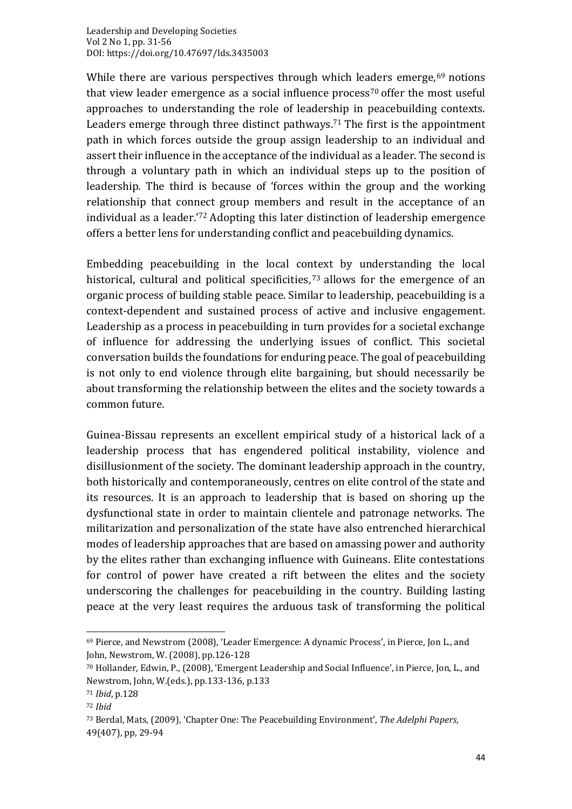While there are various perspectives through which leaders emerge,<sup>69</sup> notions that view leader emergence as a social influence process<sup>70</sup> offer the most useful approaches to understanding the role of leadership in peacebuilding contexts. Leaders emerge through three distinct pathways. <sup>71</sup> The first is the appointment path in which forces outside the group assign leadership to an individual and assert their influence in the acceptance of the individual as a leader. The second is through a voluntary path in which an individual steps up to the position of leadership. The third is because of 'forces within the group and the working relationship that connect group members and result in the acceptance of an individual as a leader.' <sup>72</sup> Adopting this later distinction of leadership emergence offers a better lens for understanding conflict and peacebuilding dynamics.

Embedding peacebuilding in the local context by understanding the local historical, cultural and political specificities, <sup>73</sup> allows for the emergence of an organic process of building stable peace. Similar to leadership, peacebuilding is a context-dependent and sustained process of active and inclusive engagement. Leadership as a process in peacebuilding in turn provides for a societal exchange of influence for addressing the underlying issues of conflict. This societal conversation builds the foundations for enduring peace. The goal of peacebuilding is not only to end violence through elite bargaining, but should necessarily be about transforming the relationship between the elites and the society towards a common future.

Guinea-Bissau represents an excellent empirical study of a historical lack of a leadership process that has engendered political instability, violence and disillusionment of the society. The dominant leadership approach in the country, both historically and contemporaneously, centres on elite control of the state and its resources. It is an approach to leadership that is based on shoring up the dysfunctional state in order to maintain clientele and patronage networks. The militarization and personalization of the state have also entrenched hierarchical modes of leadership approaches that are based on amassing power and authority by the elites rather than exchanging influence with Guineans. Elite contestations for control of power have created a rift between the elites and the society underscoring the challenges for peacebuilding in the country. Building lasting peace at the very least requires the arduous task of transforming the political

<sup>69</sup> Pierce, and Newstrom (2008), 'Leader Emergence: A dynamic Process', in Pierce, Jon L., and John, Newstrom, W. (2008), pp.126-128

<sup>70</sup> Hollander, Edwin, P., (2008), 'Emergent Leadership and Social Influence', in Pierce, Jon, L., and Newstrom, John, W.(eds.), pp.133-136, p.133

<sup>71</sup> *Ibid*, p.128

<sup>72</sup> *Ibid*

<sup>73</sup> Berdal, Mats, (2009), 'Chapter One: The Peacebuilding Environment', *The Adelphi Papers*, 49(407), pp, 29-94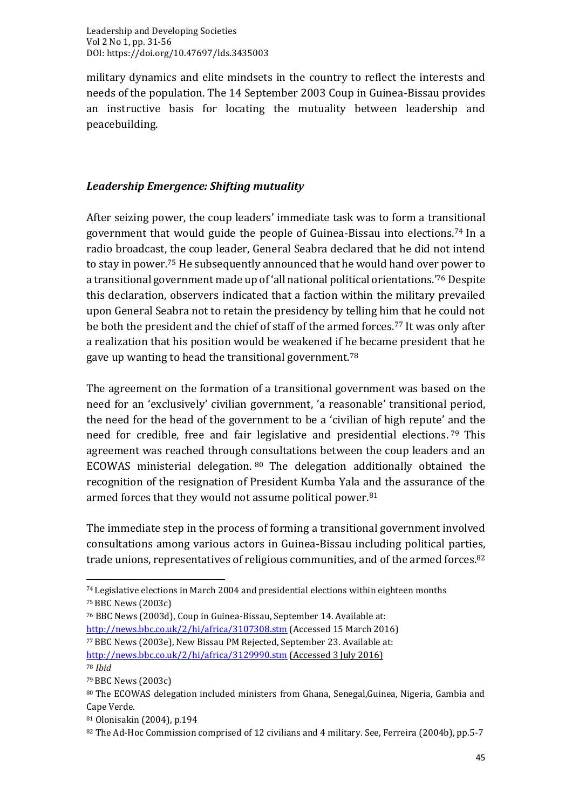military dynamics and elite mindsets in the country to reflect the interests and needs of the population. The 14 September 2003 Coup in Guinea-Bissau provides an instructive basis for locating the mutuality between leadership and peacebuilding.

#### *Leadership Emergence: Shifting mutuality*

After seizing power, the coup leaders' immediate task was to form a transitional government that would guide the people of Guinea-Bissau into elections. <sup>74</sup> In a radio broadcast, the coup leader, General Seabra declared that he did not intend to stay in power. <sup>75</sup> He subsequently announced that he would hand over power to a transitional government made up of 'all national political orientations.'<sup>76</sup> Despite this declaration, observers indicated that a faction within the military prevailed upon General Seabra not to retain the presidency by telling him that he could not be both the president and the chief of staff of the armed forces. <sup>77</sup> It was only after a realization that his position would be weakened if he became president that he gave up wanting to head the transitional government. $^{78}$ 

The agreement on the formation of a transitional government was based on the need for an 'exclusively' civilian government, 'a reasonable' transitional period, the need for the head of the government to be a 'civilian of high repute' and the need for credible, free and fair legislative and presidential elections. <sup>79</sup> This agreement was reached through consultations between the coup leaders and an ECOWAS ministerial delegation. <sup>80</sup> The delegation additionally obtained the recognition of the resignation of President Kumba Yala and the assurance of the armed forces that they would not assume political power. 81

The immediate step in the process of forming a transitional government involved consultations among various actors in Guinea-Bissau including political parties, trade unions, representatives of religious communities, and of the armed forces. 82

<sup>74</sup> Legislative elections in March 2004 and presidential elections within eighteen months <sup>75</sup>BBC News (2003c)

<sup>76</sup> BBC News (2003d), Coup in Guinea-Bissau, September 14. Available at: <http://news.bbc.co.uk/2/hi/africa/3107308.stm> (Accessed 15 March 2016) <sup>77</sup>BBC News (2003e), New Bissau PM Rejected, September 23. Available at: <http://news.bbc.co.uk/2/hi/africa/3129990.stm> (Accessed 3 July 2016) <sup>78</sup> *Ibid*

<sup>79</sup>BBC News (2003c)

<sup>80</sup> The ECOWAS delegation included ministers from Ghana, Senegal, Guinea, Nigeria, Gambia and Cape Verde.

<sup>81</sup> Olonisakin (2004), p.194

<sup>82</sup> The Ad-Hoc Commission comprised of 12 civilians and 4 military. See, Ferreira (2004b), pp.5-7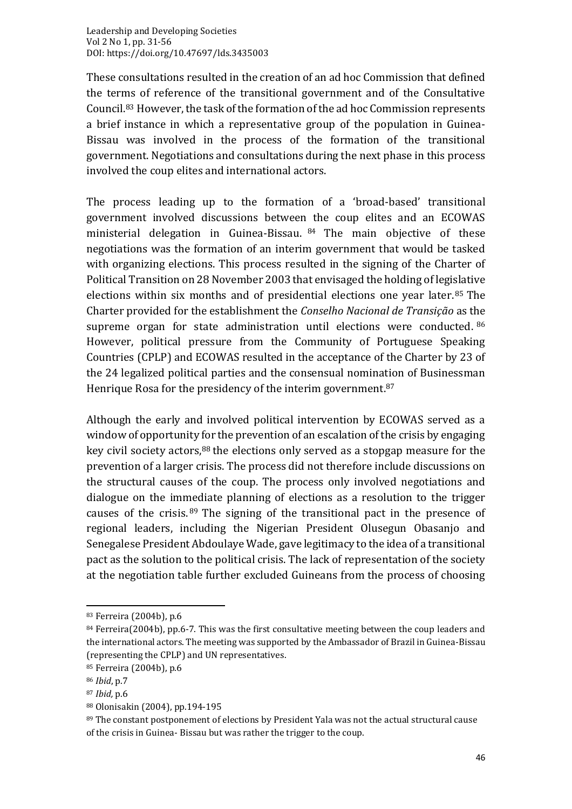These consultations resulted in the creation of an ad hoc Commission that defined the terms of reference of the transitional government and of the Consultative Council. <sup>83</sup> However, the task of the formation of the ad hoc Commission represents a brief instance in which a representative group of the population in Guinea-Bissau was involved in the process of the formation of the transitional government. Negotiations and consultations during the next phase in this process involved the coup elites and international actors.

The process leading up to the formation of a 'broad-based' transitional government involved discussions between the coup elites and an ECOWAS ministerial delegation in Guinea-Bissau. <sup>84</sup> The main objective of these negotiations was the formation of an interim government that would be tasked with organizing elections. This process resulted in the signing of the Charter of Political Transition on 28 November 2003 that envisaged the holding of legislative elections within six months and of presidential elections one year later. <sup>85</sup> The Charter provided for the establishment the *Conselho Nacional de Transição* as the supreme organ for state administration until elections were conducted. 86 However, political pressure from the Community of Portuguese Speaking Countries (CPLP) and ECOWAS resulted in the acceptance of the Charter by 23 of the 24 legalized political parties and the consensual nomination of Businessman Henrique Rosa for the presidency of the interim government. 87

Although the early and involved political intervention by ECOWAS served as a window of opportunity for the prevention of an escalation of the crisis by engaging key civil society actors,<sup>88</sup> the elections only served as a stopgap measure for the prevention of a larger crisis. The process did not therefore include discussions on the structural causes of the coup. The process only involved negotiations and dialogue on the immediate planning of elections as a resolution to the trigger causes of the crisis. <sup>89</sup> The signing of the transitional pact in the presence of regional leaders, including the Nigerian President Olusegun Obasanjo and Senegalese President Abdoulaye Wade, gave legitimacy to the idea of a transitional pact as the solution to the political crisis. The lack of representation of the society at the negotiation table further excluded Guineans from the process of choosing

<sup>83</sup> Ferreira (2004b), p.6

<sup>84</sup> Ferreira(2004b), pp.6-7. This was the first consultative meeting between the coup leaders and the international actors. The meeting was supported by the Ambassador of Brazil in Guinea-Bissau (representing the CPLP) and UN representatives.

<sup>85</sup> Ferreira (2004b), p.6

<sup>86</sup> *Ibid*, p.7

<sup>87</sup> *Ibid,* p.6

<sup>88</sup> Olonisakin (2004), pp.194-195

<sup>89</sup> The constant postponement of elections by President Yala was not the actual structural cause of the crisis in Guinea- Bissau but was rather the trigger to the coup.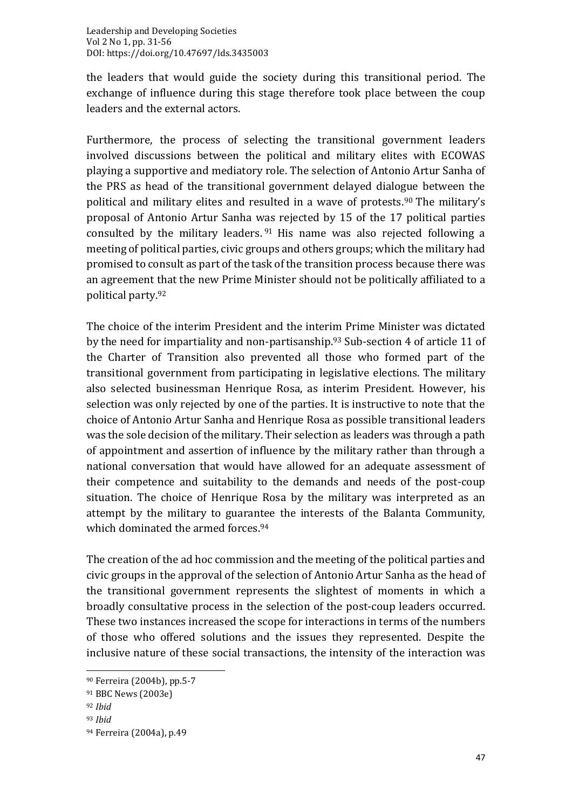the leaders that would guide the society during this transitional period. The exchange of influence during this stage therefore took place between the coup leaders and the external actors.

Furthermore, the process of selecting the transitional government leaders involved discussions between the political and military elites with ECOWAS playing a supportive and mediatory role. The selection of Antonio Artur Sanha of the PRS as head of the transitional government delayed dialogue between the political and military elites and resulted in a wave of protests. <sup>90</sup> The military's proposal of Antonio Artur Sanha was rejected by 15 of the 17 political parties consulted by the military leaders. <sup>91</sup> His name was also rejected following a meeting of political parties, civic groups and others groups; which the military had promised to consult as part of the task of the transition process because there was an agreement that the new Prime Minister should not be politically affiliated to a political party. 92

The choice of the interim President and the interim Prime Minister was dictated by the need for impartiality and non-partisanship. <sup>93</sup> Sub-section 4 of article 11 of the Charter of Transition also prevented all those who formed part of the transitional government from participating in legislative elections. The military also selected businessman Henrique Rosa, as interim President. However, his selection was only rejected by one of the parties. It is instructive to note that the choice of Antonio Artur Sanha and Henrique Rosa as possible transitional leaders was the sole decision of the military. Their selection as leaders was through a path of appointment and assertion of influence by the military rather than through a national conversation that would have allowed for an adequate assessment of their competence and suitability to the demands and needs of the post-coup situation. The choice of Henrique Rosa by the military was interpreted as an attempt by the military to guarantee the interests of the Balanta Community, which dominated the armed forces. 94

The creation of the ad hoc commission and the meeting of the political parties and civic groups in the approval of the selection of Antonio Artur Sanha as the head of the transitional government represents the slightest of moments in which a broadly consultative process in the selection of the post-coup leaders occurred. These two instances increased the scope for interactions in terms of the numbers of those who offered solutions and the issues they represented. Despite the inclusive nature of these social transactions, the intensity of the interaction was

<sup>90</sup> Ferreira (2004b), pp.5-7

<sup>91</sup> BBC News (2003e)

<sup>92</sup> *Ibid*

<sup>93</sup> *Ibid*

<sup>94</sup> Ferreira (2004a), p.49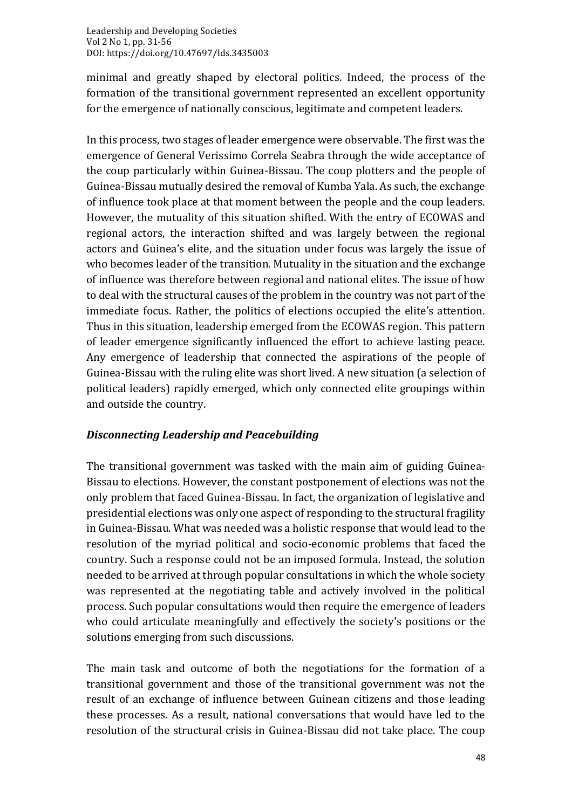minimal and greatly shaped by electoral politics. Indeed, the process of the formation of the transitional government represented an excellent opportunity for the emergence of nationally conscious, legitimate and competent leaders.

In this process, two stages of leader emergence were observable. The first was the emergence of General Verissimo Correla Seabra through the wide acceptance of the coup particularly within Guinea-Bissau. The coup plotters and the people of Guinea-Bissau mutually desired the removal of Kumba Yala. As such, the exchange of influence took place at that moment between the people and the coup leaders. However, the mutuality of this situation shifted. With the entry of ECOWAS and regional actors, the interaction shifted and was largely between the regional actors and Guinea's elite, and the situation under focus was largely the issue of who becomes leader of the transition. Mutuality in the situation and the exchange of influence was therefore between regional and national elites. The issue of how to deal with the structural causes of the problem in the country was not part of the immediate focus. Rather, the politics of elections occupied the elite's attention. Thus in this situation, leadership emerged from the ECOWAS region. This pattern of leader emergence significantly influenced the effort to achieve lasting peace. Any emergence of leadership that connected the aspirations of the people of Guinea-Bissau with the ruling elite was short lived. A new situation (a selection of political leaders) rapidly emerged, which only connected elite groupings within and outside the country.

#### *Disconnecting Leadership and Peacebuilding*

The transitional government was tasked with the main aim of guiding Guinea-Bissau to elections. However, the constant postponement of elections was not the only problem that faced Guinea-Bissau. In fact, the organization of legislative and presidential elections was only one aspect of responding to the structural fragility in Guinea-Bissau. What was needed was a holistic response that would lead to the resolution of the myriad political and socio-economic problems that faced the country. Such a response could not be an imposed formula. Instead, the solution needed to be arrived at through popular consultations in which the whole society was represented at the negotiating table and actively involved in the political process. Such popular consultations would then require the emergence of leaders who could articulate meaningfully and effectively the society's positions or the solutions emerging from such discussions.

The main task and outcome of both the negotiations for the formation of a transitional government and those of the transitional government was not the result of an exchange of influence between Guinean citizens and those leading these processes. As a result, national conversations that would have led to the resolution of the structural crisis in Guinea-Bissau did not take place. The coup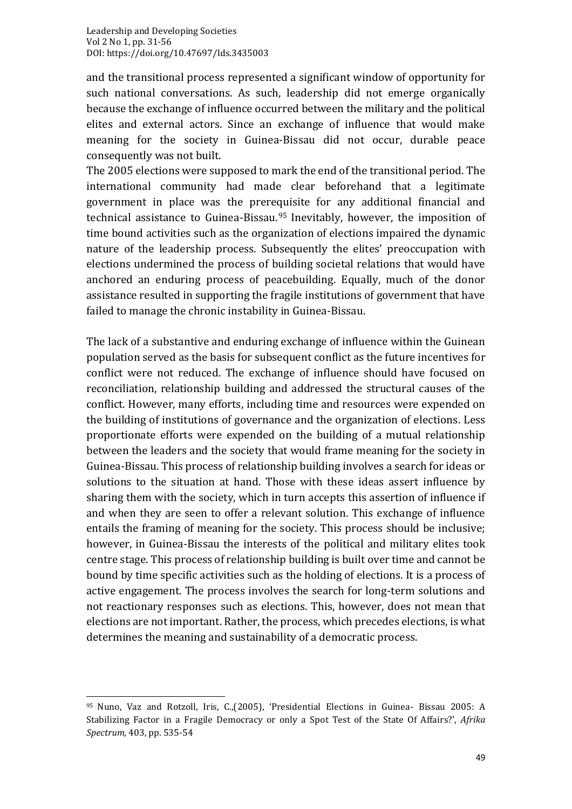and the transitional process represented a significant window of opportunity for such national conversations. As such, leadership did not emerge organically because the exchange of influence occurred between the military and the political elites and external actors. Since an exchange of influence that would make meaning for the society in Guinea-Bissau did not occur, durable peace consequently was not built.

The 2005 elections were supposed to mark the end of the transitional period. The international community had made clear beforehand that a legitimate government in place was the prerequisite for any additional financial and technical assistance to Guinea-Bissau. <sup>95</sup> Inevitably, however, the imposition of time bound activities such as the organization of elections impaired the dynamic nature of the leadership process. Subsequently the elites' preoccupation with elections undermined the process of building societal relations that would have anchored an enduring process of peacebuilding. Equally, much of the donor assistance resulted in supporting the fragile institutions of government that have failed to manage the chronic instability in Guinea-Bissau.

The lack of a substantive and enduring exchange of influence within the Guinean population served as the basis for subsequent conflict as the future incentives for conflict were not reduced. The exchange of influence should have focused on reconciliation, relationship building and addressed the structural causes of the conflict. However, many efforts, including time and resources were expended on the building of institutions of governance and the organization of elections. Less proportionate efforts were expended on the building of a mutual relationship between the leaders and the society that would frame meaning for the society in Guinea-Bissau. This process of relationship building involves a search for ideas or solutions to the situation at hand. Those with these ideas assert influence by sharing them with the society, which in turn accepts this assertion of influence if and when they are seen to offer a relevant solution. This exchange of influence entails the framing of meaning for the society. This process should be inclusive; however, in Guinea-Bissau the interests of the political and military elites took centre stage. This process of relationship building is built over time and cannot be bound by time specific activities such as the holding of elections. It is a process of active engagement. The process involves the search for long-term solutions and not reactionary responses such as elections. This, however, does not mean that elections are not important. Rather, the process, which precedes elections, is what determines the meaning and sustainability of a democratic process.

<sup>95</sup> Nuno, Vaz and Rotzoll, Iris, C.,(2005), 'Presidential Elections in Guinea- Bissau 2005: A Stabilizing Factor in a Fragile Democracy or only a Spot Test of the State Of Affairs?', *Afrika Spectrum,* 403, pp. 535-54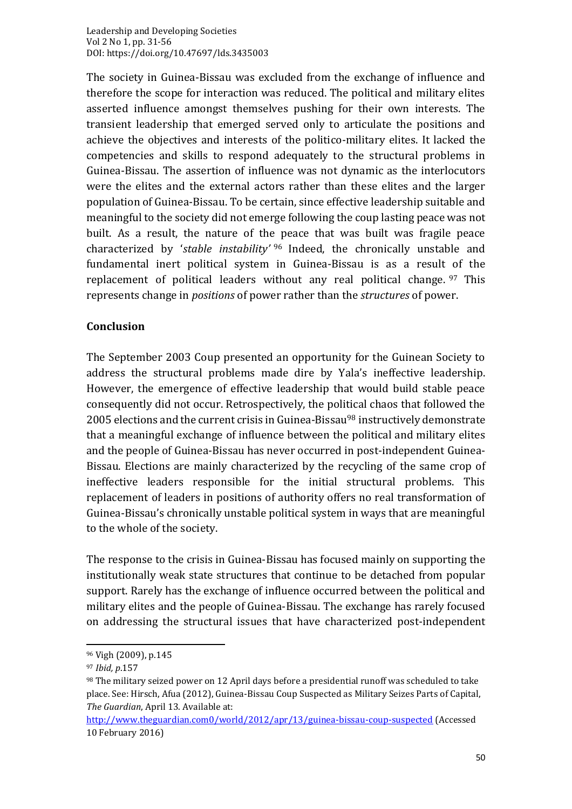The society in Guinea-Bissau was excluded from the exchange of influence and therefore the scope for interaction was reduced. The political and military elites asserted influence amongst themselves pushing for their own interests. The transient leadership that emerged served only to articulate the positions and achieve the objectives and interests of the politico-military elites. It lacked the competencies and skills to respond adequately to the structural problems in Guinea-Bissau. The assertion of influence was not dynamic as the interlocutors were the elites and the external actors rather than these elites and the larger population of Guinea-Bissau. To be certain, since effective leadership suitable and meaningful to the society did not emerge following the coup lasting peace was not built. As a result, the nature of the peace that was built was fragile peace characterized by '*stable instability'* <sup>96</sup> Indeed, the chronically unstable and fundamental inert political system in Guinea-Bissau is as a result of the replacement of political leaders without any real political change. <sup>97</sup> This represents change in *positions* of power rather than the *structures* of power.

#### **Conclusion**

The September 2003 Coup presented an opportunity for the Guinean Society to address the structural problems made dire by Yala's ineffective leadership. However, the emergence of effective leadership that would build stable peace consequently did not occur. Retrospectively, the political chaos that followed the 2005 elections and the current crisis in Guinea-Bissau<sup>98</sup> instructively demonstrate that a meaningful exchange of influence between the political and military elites and the people of Guinea-Bissau has never occurred in post-independent Guinea-Bissau. Elections are mainly characterized by the recycling of the same crop of ineffective leaders responsible for the initial structural problems. This replacement of leaders in positions of authority offers no real transformation of Guinea-Bissau's chronically unstable political system in ways that are meaningful to the whole of the society.

The response to the crisis in Guinea-Bissau has focused mainly on supporting the institutionally weak state structures that continue to be detached from popular support. Rarely has the exchange of influence occurred between the political and military elites and the people of Guinea-Bissau. The exchange has rarely focused on addressing the structural issues that have characterized post-independent

<sup>96</sup> Vigh (2009), p.145

<sup>97</sup> *Ibid, p*.157

<sup>98</sup> The military seized power on 12 April days before a presidential runoff was scheduled to take place. See: Hirsch, Afua (2012), Guinea-Bissau Coup Suspected as Military Seizes Parts of Capital, *The Guardian*, April 13. Available at:

<http://www.theguardian.com0/world/2012/apr/13/guinea-bissau-coup-suspected> (Accessed 10 February 2016)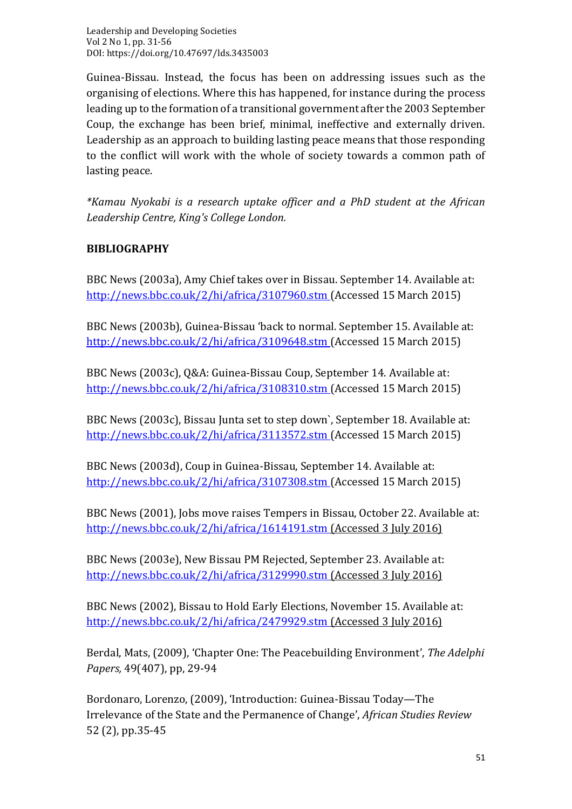Guinea-Bissau. Instead, the focus has been on addressing issues such as the organising of elections. Where this has happened, for instance during the process leading up to the formation of a transitional government after the 2003 September Coup, the exchange has been brief, minimal, ineffective and externally driven. Leadership as an approach to building lasting peace means that those responding to the conflict will work with the whole of society towards a common path of lasting peace.

*\*Kamau Nyokabi is a research uptake officer and a PhD student at the African Leadership Centre, King's College London.*

### **BIBLIOGRAPHY**

BBC News (2003a), Amy Chief takes over in Bissau. September 14. Available at: <http://news.bbc.co.uk/2/hi/africa/3107960.stm> (Accessed 15 March 2015)

BBC News (2003b), Guinea-Bissau 'back to normal. September 15. Available at: <http://news.bbc.co.uk/2/hi/africa/3109648.stm> (Accessed 15 March 2015)

BBC News (2003c), Q&A: Guinea-Bissau Coup, September 14. Available at: <http://news.bbc.co.uk/2/hi/africa/3108310.stm> (Accessed 15 March 2015)

BBC News (2003c), Bissau Junta set to step down`, September 18. Available at: <http://news.bbc.co.uk/2/hi/africa/3113572.stm> (Accessed 15 March 2015)

BBC News (2003d), Coup in Guinea-Bissau, September 14. Available at: <http://news.bbc.co.uk/2/hi/africa/3107308.stm> (Accessed 15 March 2015)

BBC News (2001), Jobs move raises Tempers in Bissau, October 22. Available at: <http://news.bbc.co.uk/2/hi/africa/1614191.stm> (Accessed 3 July 2016)

BBC News (2003e), New Bissau PM Rejected, September 23. Available at: <http://news.bbc.co.uk/2/hi/africa/3129990.stm> (Accessed 3 July 2016)

BBC News (2002), Bissau to Hold Early Elections, November 15. Available at: <http://news.bbc.co.uk/2/hi/africa/2479929.stm> (Accessed 3 July 2016)

Berdal, Mats, (2009), 'Chapter One: The Peacebuilding Environment', *The Adelphi Papers,* 49(407), pp, 29-94

Bordonaro, Lorenzo, (2009), 'Introduction: Guinea-Bissau Today—The Irrelevance of the State and the Permanence of Change', *African Studies Review*  52 (2), pp.35-45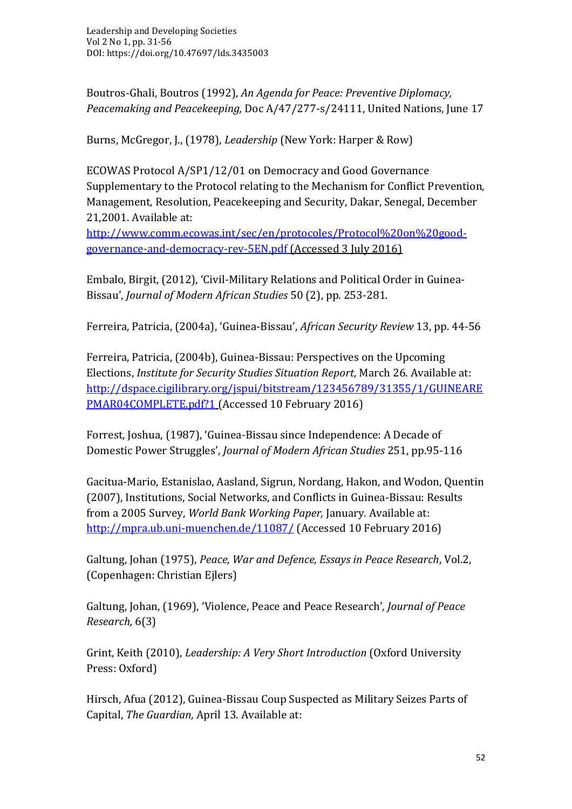Boutros-Ghali, Boutros (1992), *An Agenda for Peace: Preventive Diplomacy, Peacemaking and Peacekeeping,* Doc A/47/277-s/24111, United Nations, June 17

Burns, McGregor, J., (1978), *Leadership* (New York: Harper & Row)

ECOWAS Protocol A/SP1/12/01 on Democracy and Good Governance Supplementary to the Protocol relating to the Mechanism for Conflict Prevention, Management, Resolution, Peacekeeping and Security, Dakar, Senegal, December 21,2001. Available at:

[http://www.comm.ecowas.int/sec/en/protocoles/Protocol%20on%20good](http://www.comm.ecowas.int/sec/en/protocoles/Protocol%20on%20good-governance-and-democracy-rev-5EN.pdf)[governance-and-democracy-rev-5EN.pdf](http://www.comm.ecowas.int/sec/en/protocoles/Protocol%20on%20good-governance-and-democracy-rev-5EN.pdf) (Accessed 3 July 2016)

Embalo, Birgit, (2012), 'Civil-Military Relations and Political Order in Guinea-Bissau', *Journal of Modern African Studies* 50 (2), pp. 253-281.

Ferreira, Patricia, (2004a), 'Guinea-Bissau', *African Security Review* 13, pp. 44-56

Ferreira, Patricia, (2004b), Guinea-Bissau: Perspectives on the Upcoming Elections, *Institute for Security Studies Situation Report,* March 26. Available at: [http://dspace.cigilibrary.org/jspui/bitstream/123456789/31355/1/GUINEARE](http://dspace.cigilibrary.org/jspui/bitstream/123456789/31355/1/GUINEAREPMAR04COMPLETE.pdf?1) [PMAR04COMPLETE.pdf?1](http://dspace.cigilibrary.org/jspui/bitstream/123456789/31355/1/GUINEAREPMAR04COMPLETE.pdf?1) (Accessed 10 February 2016)

Forrest, Joshua, (1987), 'Guinea-Bissau since Independence: A Decade of Domestic Power Struggles', *Journal of Modern African Studies* 251, pp.95-116

Gacitua-Mario, Estanislao, Aasland, Sigrun, Nordang, Hakon, and Wodon, Quentin (2007), Institutions, Social Networks, and Conflicts in Guinea-Bissau: Results from a 2005 Survey, *World Bank Working Paper,* January*.* Available at: <http://mpra.ub.uni-muenchen.de/11087/> (Accessed 10 February 2016)

Galtung, Johan (1975), *Peace, War and Defence, Essays in Peace Research*, Vol.2, (Copenhagen: Christian Ejlers)

Galtung, Johan, (1969), 'Violence, Peace and Peace Research', *Journal of Peace Research,* 6(3)

Grint, Keith (2010), *Leadership: A Very Short Introduction* (Oxford University Press: Oxford)

Hirsch, Afua (2012), Guinea-Bissau Coup Suspected as Military Seizes Parts of Capital, *The Guardian,* April 13. Available at: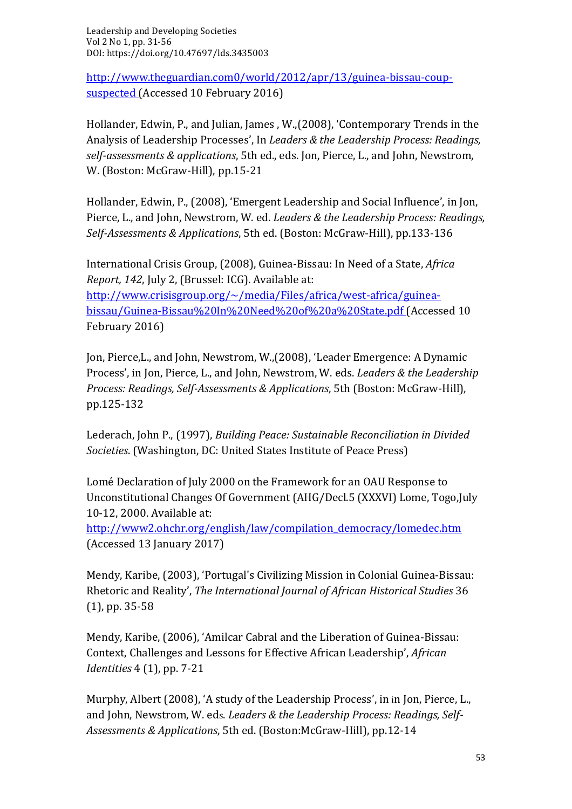[http://www.theguardian.com0/world/2012/apr/13/guinea-bissau-coup](http://www.theguardian.com0/world/2012/apr/13/guinea-bissau-coup-suspected)[suspected](http://www.theguardian.com0/world/2012/apr/13/guinea-bissau-coup-suspected) (Accessed 10 February 2016)

Hollander, Edwin, P., and Julian, James , W.,(2008), 'Contemporary Trends in the Analysis of Leadership Processes', In *Leaders & the Leadership Process: Readings, self-assessments & applications*, 5th ed., eds. Jon, Pierce, L., and John, Newstrom, W. (Boston: McGraw-Hill), pp.15-21

Hollander, Edwin, P., (2008), 'Emergent Leadership and Social Influence', in Jon, Pierce, L., and John, Newstrom, W. ed. *Leaders & the Leadership Process: Readings, Self-Assessments & Applications*, 5th ed. (Boston: McGraw-Hill), pp.133-136

International Crisis Group, (2008), Guinea-Bissau: In Need of a State, *Africa Report, 142*, July 2, (Brussel: ICG). Available at: [http://www.crisisgroup.org/~/media/Files/africa/west-africa/guinea](http://www.crisisgroup.org/~/media/Files/africa/west-africa/guinea-bissau/Guinea-Bissau%20In%20Need%20of%20a%20State.pdf)[bissau/Guinea-Bissau%20In%20Need%20of%20a%20State.pdf](http://www.crisisgroup.org/~/media/Files/africa/west-africa/guinea-bissau/Guinea-Bissau%20In%20Need%20of%20a%20State.pdf) (Accessed 10 February 2016)

Jon, Pierce,L., and John, Newstrom, W.,(2008), 'Leader Emergence: A Dynamic Process', in Jon, Pierce, L., and John, Newstrom, W. eds. *Leaders & the Leadership Process: Readings, Self-Assessments & Applications*, 5th (Boston: McGraw-Hill), pp.125-132

Lederach, John P., (1997), *Building Peace: Sustainable Reconciliation in Divided Societies*. (Washington, DC: United States Institute of Peace Press)

Lomé Declaration of July 2000 on the Framework for an OAU Response to Unconstitutional Changes Of Government (AHG/Decl.5 (XXXVI) Lome, Togo,July 10-12, 2000. Available at:

[http://www2.ohchr.org/english/law/compilation\\_democracy/lomedec.htm](http://www2.ohchr.org/english/law/compilation_democracy/lomedec.htm) (Accessed 13 January 2017)

Mendy, Karibe, (2003), 'Portugal's Civilizing Mission in Colonial Guinea-Bissau: Rhetoric and Reality', *The International Journal of African Historical Studies* 36 (1), pp. 35-58

Mendy, Karibe, (2006), 'Amilcar Cabral and the Liberation of Guinea-Bissau: Context, Challenges and Lessons for Effective African Leadership', *African Identities* 4 (1), pp. 7-21

Murphy, Albert (2008), 'A study of the Leadership Process', in in Jon, Pierce, L., and John, Newstrom, W. eds. *Leaders & the Leadership Process: Readings, Self-Assessments & Applications*, 5th ed. (Boston:McGraw-Hill), pp.12-14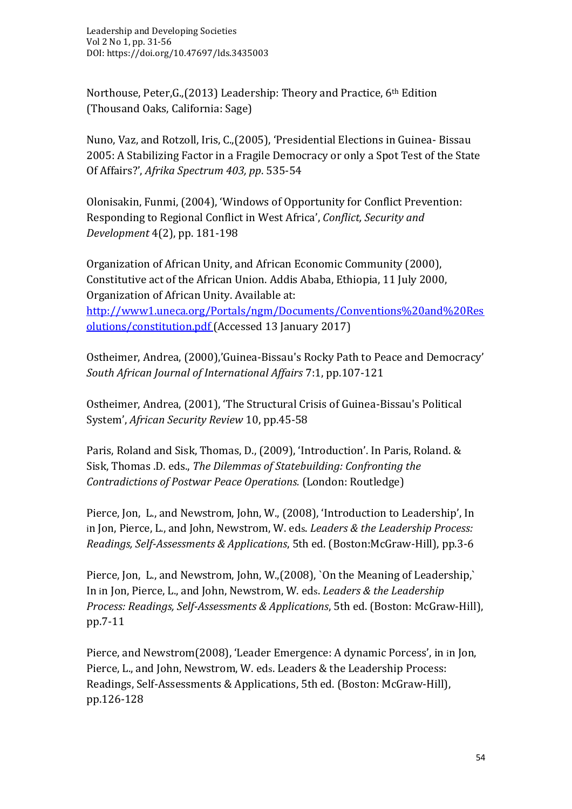Northouse, Peter,G.,(2013) Leadership: Theory and Practice, 6th Edition (Thousand Oaks, California: Sage)

Nuno, Vaz, and Rotzoll, Iris, C.,(2005), 'Presidential Elections in Guinea- Bissau 2005: A Stabilizing Factor in a Fragile Democracy or only a Spot Test of the State Of Affairs?', *Afrika Spectrum 403, pp*. 535-54

Olonisakin, Funmi, (2004), 'Windows of Opportunity for Conflict Prevention: Responding to Regional Conflict in West Africa', *Conflict, Security and Development* 4(2), pp. 181-198

Organization of African Unity, and African Economic Community (2000), Constitutive act of the African Union. Addis Ababa, Ethiopia, 11 July 2000, Organization of African Unity. Available at:

[http://www1.uneca.org/Portals/ngm/Documents/Conventions%20and%20Res](http://www1.uneca.org/Portals/ngm/Documents/Conventions%20and%20Resolutions/constitution.pdf) [olutions/constitution.pdf](http://www1.uneca.org/Portals/ngm/Documents/Conventions%20and%20Resolutions/constitution.pdf) (Accessed 13 January 2017)

Ostheimer, Andrea, (2000),'Guinea-Bissau's Rocky Path to Peace and Democracy' *South African Journal of International Affairs* 7:1, pp.107-121

Ostheimer, Andrea, (2001), 'The Structural Crisis of Guinea-Bissau's Political System', *African Security Review* 10, pp.45-58

Paris, Roland and Sisk, Thomas, D., (2009), 'Introduction'. In Paris, Roland. & Sisk, Thomas .D. eds., *The Dilemmas of Statebuilding: Confronting the Contradictions of Postwar Peace Operations.* (London: Routledge)

Pierce, Jon, L., and Newstrom, John, W., (2008), 'Introduction to Leadership', In in Jon, Pierce, L., and John, Newstrom, W. eds. *Leaders & the Leadership Process: Readings, Self-Assessments & Applications*, 5th ed. (Boston:McGraw-Hill), pp.3-6

Pierce, Jon, L., and Newstrom, John, W.,(2008), `On the Meaning of Leadership,` In in Jon, Pierce, L., and John, Newstrom, W. eds. *Leaders & the Leadership Process: Readings, Self-Assessments & Applications*, 5th ed. (Boston: McGraw-Hill), pp.7-11

Pierce, and Newstrom(2008), 'Leader Emergence: A dynamic Porcess', in in Jon, Pierce, L., and John, Newstrom, W. eds. Leaders & the Leadership Process: Readings, Self-Assessments & Applications, 5th ed. (Boston: McGraw-Hill), pp.126-128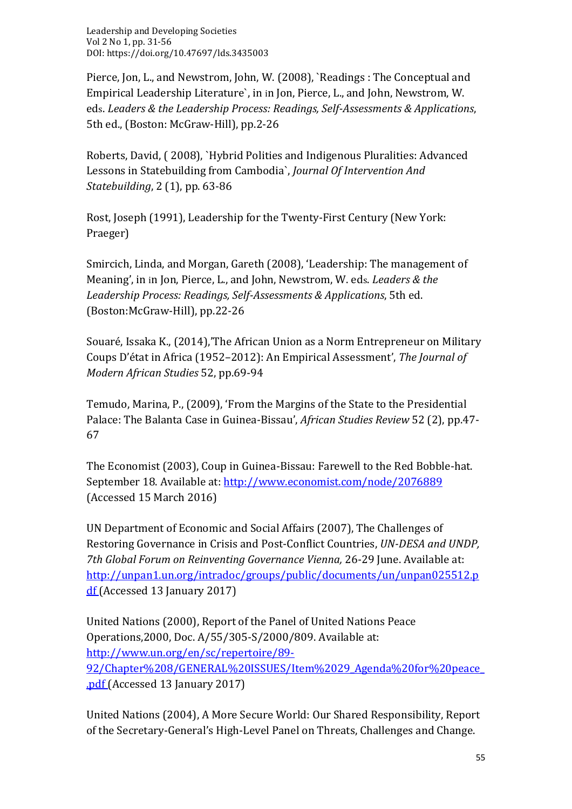Pierce, Jon, L., and Newstrom, John, W. (2008), `Readings : The Conceptual and Empirical Leadership Literature`, in in Jon, Pierce, L., and John, Newstrom, W. eds. *Leaders & the Leadership Process: Readings, Self-Assessments & Applications*, 5th ed., (Boston: McGraw-Hill), pp.2-26

Roberts, David, ( 2008), `Hybrid Polities and Indigenous Pluralities: Advanced Lessons in Statebuilding from Cambodia`, *Journal Of Intervention And Statebuilding*, 2 (1), pp. 63-86

Rost, Joseph (1991), Leadership for the Twenty-First Century (New York: Praeger)

Smircich, Linda, and Morgan, Gareth (2008), 'Leadership: The management of Meaning', in in Jon, Pierce, L., and John, Newstrom, W. eds. *Leaders & the Leadership Process: Readings, Self-Assessments & Applications*, 5th ed. (Boston:McGraw-Hill), pp.22-26

Souaré, Issaka K., (2014),'The African Union as a Norm Entrepreneur on Military Coups D'état in Africa (1952–2012): An Empirical Assessment', *The Journal of Modern African Studies* 52, pp.69-94

Temudo, Marina, P., (2009), 'From the Margins of the State to the Presidential Palace: The Balanta Case in Guinea-Bissau', *African Studies Review* 52 (2), pp.47- 67

The Economist (2003), Coup in Guinea-Bissau: Farewell to the Red Bobble-hat. September 18. Available at[: http://www.economist.com/node/2076889](http://www.economist.com/node/2076889)  (Accessed 15 March 2016)

UN Department of Economic and Social Affairs (2007), The Challenges of Restoring Governance in Crisis and Post-Conflict Countries, *UN-DESA and UNDP, 7th Global Forum on Reinventing Governance Vienna,* 26-29 June. Available at: [http://unpan1.un.org/intradoc/groups/public/documents/un/unpan025512.p](http://unpan1.un.org/intradoc/groups/public/documents/un/unpan025512.pdf) [df](http://unpan1.un.org/intradoc/groups/public/documents/un/unpan025512.pdf) (Accessed 13 January 2017)

United Nations (2000), Report of the Panel of United Nations Peace Operations,2000, Doc. A/55/305-S/2000/809. Available at: [http://www.un.org/en/sc/repertoire/89-](http://www.un.org/en/sc/repertoire/89-92/Chapter%208/GENERAL%20ISSUES/Item%2029_Agenda%20for%20peace_.pdf) [92/Chapter%208/GENERAL%20ISSUES/Item%2029\\_Agenda%20for%20peace\\_](http://www.un.org/en/sc/repertoire/89-92/Chapter%208/GENERAL%20ISSUES/Item%2029_Agenda%20for%20peace_.pdf) [.pdf](http://www.un.org/en/sc/repertoire/89-92/Chapter%208/GENERAL%20ISSUES/Item%2029_Agenda%20for%20peace_.pdf) (Accessed 13 January 2017)

United Nations (2004), A More Secure World: Our Shared Responsibility, Report of the Secretary-General's High-Level Panel on Threats, Challenges and Change.